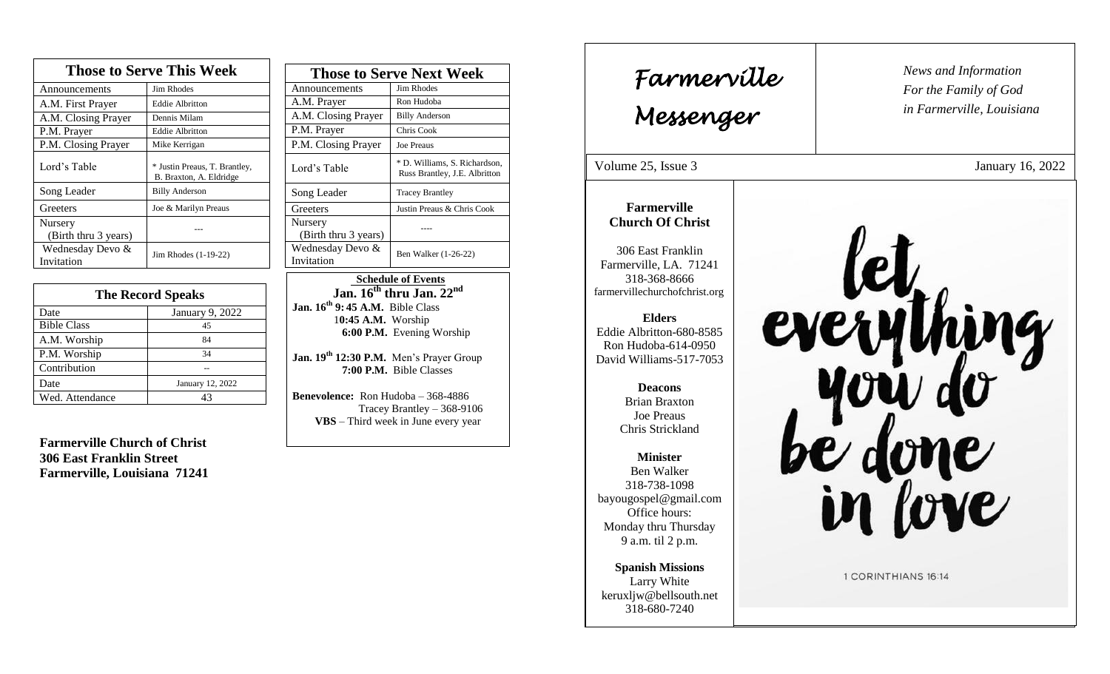| <b>Those to Serve This Week</b> |                                                          |  |
|---------------------------------|----------------------------------------------------------|--|
| Announcements                   | <b>Jim Rhodes</b>                                        |  |
| A.M. First Prayer               | <b>Eddie Albritton</b>                                   |  |
| A.M. Closing Prayer             | Dennis Milam                                             |  |
| P.M. Prayer                     | <b>Eddie Albritton</b>                                   |  |
| P.M. Closing Prayer             | Mike Kerrigan                                            |  |
| Lord's Table                    | * Justin Preaus, T. Brantley,<br>B. Braxton, A. Eldridge |  |
| Song Leader                     | <b>Billy Anderson</b>                                    |  |
| Greeters                        | Joe & Marilyn Preaus                                     |  |
| Nursery<br>(Birth thru 3 years) |                                                          |  |
| Wednesday Devo &<br>Invitation  | Jim Rhodes (1-19-22)                                     |  |

| <b>The Record Speaks</b> |                  |
|--------------------------|------------------|
| Date                     | January 9, 2022  |
| <b>Bible Class</b>       | 45               |
| A.M. Worship             | 84               |
| P.M. Worship             | 34               |
| Contribution             |                  |
| Date                     | January 12, 2022 |
| Wed. Attendance          | 43               |

**Farmerville Church of Christ 306 East Franklin Street Farmerville, Louisiana 71241**

| <b>Those to Serve Next Week</b> |                                                                |
|---------------------------------|----------------------------------------------------------------|
| Announcements                   | Jim Rhodes                                                     |
| A.M. Prayer                     | Ron Hudoba                                                     |
| A.M. Closing Prayer             | <b>Billy Anderson</b>                                          |
| P.M. Prayer                     | Chris Cook                                                     |
| P.M. Closing Prayer             | <b>Joe Preaus</b>                                              |
| Lord's Table                    | * D. Williams, S. Richardson,<br>Russ Brantley, J.E. Albritton |
| Song Leader                     | <b>Tracey Brantley</b>                                         |
| Greeters                        | Justin Preaus & Chris Cook                                     |
| Nursery<br>(Birth thru 3 years) |                                                                |
| Wednesday Devo &<br>Invitation  | Ben Walker (1-26-22)                                           |

 **Schedule of Events Jan. 16th thru Jan. 22nd Jan. 16th 9: 45 A.M.** Bible Class 1**0:45 A.M.** Worship  **6:00 P.M.** Evening Worship

**Jan. 19 th 12:30 P.M.** Men's Prayer Group **7:00 P.M.** Bible Classes

**Benevolence:** Ron Hudoba – 368-4886 Tracey Brantley – 368-9106 **VBS** – Third week in June every year

*News and Information* **Farmerville**  $\begin{bmatrix} \text{News an} \\ \text{For the} \end{bmatrix}$ *For the Family of God in Farmerville, Louisiana Messenger*  Volume 25, Issue 3 January 16, 2022 , 2015<br>, 2015<br>, 2015<br>, 2015<br>, 2015<br>, 2015<br>, 2015<br>, 2015<br>, 2015<br>, 2015<br>, 2015<br>, 2015<br>, 2015<br>, 2015<br>, 2015<br>, 2015<br>, 2015<br>, 2015<br>, 2015<br><br><br><br><br><br><br><br><br><br><br><br><br><br><br><br><br><br><br><br><br><br><br><br><br><br><br><br><br><br><br><br> **Farmerville Church Of Christ** 306 East Franklin Farmerville, LA. 71241 318-368-8666 farmervillechurchofchrist.org **Elders** Eddie Albritton-680-8585 Ron Hudoba-614-0950 David Williams-517-7053 **Deacons**  Brian Braxton Joe Preaus Chris Strickland **Minister** Ben Walker 318-738-1098 bayougospel@gmail.com Office hours: Monday thru Thursday 9 a.m. til 2 p.m. **Spanish Missions** 1 CORINTHIANS 16:14 Larry White keruxljw@bellsouth.net 318-680-7240